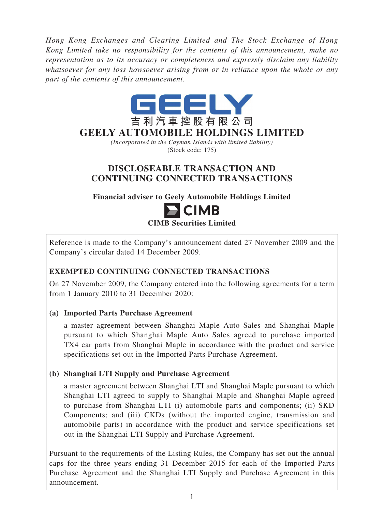*Hong Kong Exchanges and Clearing Limited and The Stock Exchange of Hong Kong Limited take no responsibility for the contents of this announcement, make no representation as to its accuracy or completeness and expressly disclaim any liability whatsoever for any loss howsoever arising from or in reliance upon the whole or any part of the contents of this announcement.*



*(Incorporated in the Cayman Islands with limited liability)* (Stock code: 175)

# **DISCLOSEABLE TRANSACTION AND CONTINUING CONNECTED TRANSACTIONS**

**Financial adviser to Geely Automobile Holdings Limited**

# $\blacksquare$  CIMB **CIMB Securities Limited**

Reference is made to the Company's announcement dated 27 November 2009 and the Company's circular dated 14 December 2009.

# **EXEMPTED CONTINUING CONNECTED TRANSACTIONS**

On 27 November 2009, the Company entered into the following agreements for a term from 1 January 2010 to 31 December 2020:

# **(a) Imported Parts Purchase Agreement**

a master agreement between Shanghai Maple Auto Sales and Shanghai Maple pursuant to which Shanghai Maple Auto Sales agreed to purchase imported TX4 car parts from Shanghai Maple in accordance with the product and service specifications set out in the Imported Parts Purchase Agreement.

# **(b) Shanghai LTI Supply and Purchase Agreement**

a master agreement between Shanghai LTI and Shanghai Maple pursuant to which Shanghai LTI agreed to supply to Shanghai Maple and Shanghai Maple agreed to purchase from Shanghai LTI (i) automobile parts and components; (ii) SKD Components; and (iii) CKDs (without the imported engine, transmission and automobile parts) in accordance with the product and service specifications set out in the Shanghai LTI Supply and Purchase Agreement.

Pursuant to the requirements of the Listing Rules, the Company has set out the annual caps for the three years ending 31 December 2015 for each of the Imported Parts Purchase Agreement and the Shanghai LTI Supply and Purchase Agreement in this announcement.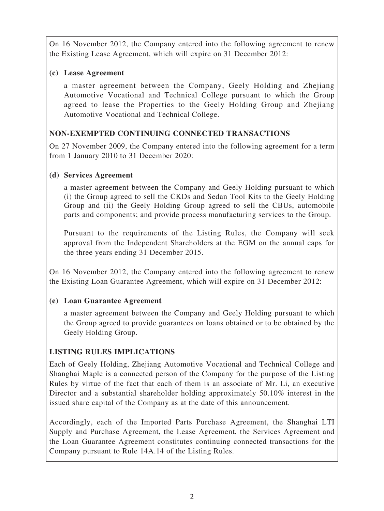On 16 November 2012, the Company entered into the following agreement to renew the Existing Lease Agreement, which will expire on 31 December 2012:

#### **(c) Lease Agreement**

a master agreement between the Company, Geely Holding and Zhejiang Automotive Vocational and Technical College pursuant to which the Group agreed to lease the Properties to the Geely Holding Group and Zhejiang Automotive Vocational and Technical College.

## **NON-EXEMPTED CONTINUING CONNECTED TRANSACTIONS**

On 27 November 2009, the Company entered into the following agreement for a term from 1 January 2010 to 31 December 2020:

#### **(d) Services Agreement**

a master agreement between the Company and Geely Holding pursuant to which (i) the Group agreed to sell the CKDs and Sedan Tool Kits to the Geely Holding Group and (ii) the Geely Holding Group agreed to sell the CBUs, automobile parts and components; and provide process manufacturing services to the Group.

Pursuant to the requirements of the Listing Rules, the Company will seek approval from the Independent Shareholders at the EGM on the annual caps for the three years ending 31 December 2015.

On 16 November 2012, the Company entered into the following agreement to renew the Existing Loan Guarantee Agreement, which will expire on 31 December 2012:

## **(e) Loan Guarantee Agreement**

a master agreement between the Company and Geely Holding pursuant to which the Group agreed to provide guarantees on loans obtained or to be obtained by the Geely Holding Group.

## **LISTING RULES IMPLICATIONS**

Each of Geely Holding, Zhejiang Automotive Vocational and Technical College and Shanghai Maple is a connected person of the Company for the purpose of the Listing Rules by virtue of the fact that each of them is an associate of Mr. Li, an executive Director and a substantial shareholder holding approximately 50.10% interest in the issued share capital of the Company as at the date of this announcement.

Accordingly, each of the Imported Parts Purchase Agreement, the Shanghai LTI Supply and Purchase Agreement, the Lease Agreement, the Services Agreement and the Loan Guarantee Agreement constitutes continuing connected transactions for the Company pursuant to Rule 14A.14 of the Listing Rules.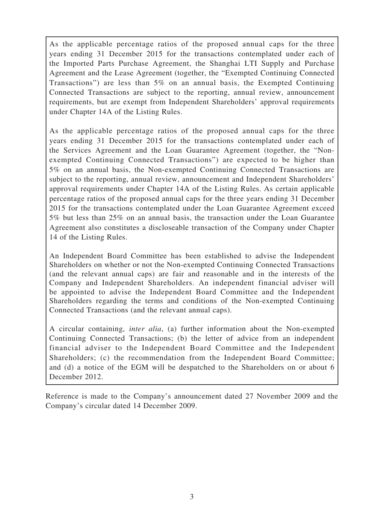As the applicable percentage ratios of the proposed annual caps for the three years ending 31 December 2015 for the transactions contemplated under each of the Imported Parts Purchase Agreement, the Shanghai LTI Supply and Purchase Agreement and the Lease Agreement (together, the "Exempted Continuing Connected Transactions") are less than 5% on an annual basis, the Exempted Continuing Connected Transactions are subject to the reporting, annual review, announcement requirements, but are exempt from Independent Shareholders' approval requirements under Chapter 14A of the Listing Rules.

As the applicable percentage ratios of the proposed annual caps for the three years ending 31 December 2015 for the transactions contemplated under each of the Services Agreement and the Loan Guarantee Agreement (together, the "Nonexempted Continuing Connected Transactions") are expected to be higher than 5% on an annual basis, the Non-exempted Continuing Connected Transactions are subject to the reporting, annual review, announcement and Independent Shareholders' approval requirements under Chapter 14A of the Listing Rules. As certain applicable percentage ratios of the proposed annual caps for the three years ending 31 December 2015 for the transactions contemplated under the Loan Guarantee Agreement exceed 5% but less than 25% on an annual basis, the transaction under the Loan Guarantee Agreement also constitutes a discloseable transaction of the Company under Chapter 14 of the Listing Rules.

An Independent Board Committee has been established to advise the Independent Shareholders on whether or not the Non-exempted Continuing Connected Transactions (and the relevant annual caps) are fair and reasonable and in the interests of the Company and Independent Shareholders. An independent financial adviser will be appointed to advise the Independent Board Committee and the Independent Shareholders regarding the terms and conditions of the Non-exempted Continuing Connected Transactions (and the relevant annual caps).

A circular containing, *inter alia*, (a) further information about the Non-exempted Continuing Connected Transactions; (b) the letter of advice from an independent financial adviser to the Independent Board Committee and the Independent Shareholders; (c) the recommendation from the Independent Board Committee; and (d) a notice of the EGM will be despatched to the Shareholders on or about 6 December 2012.

Reference is made to the Company's announcement dated 27 November 2009 and the Company's circular dated 14 December 2009.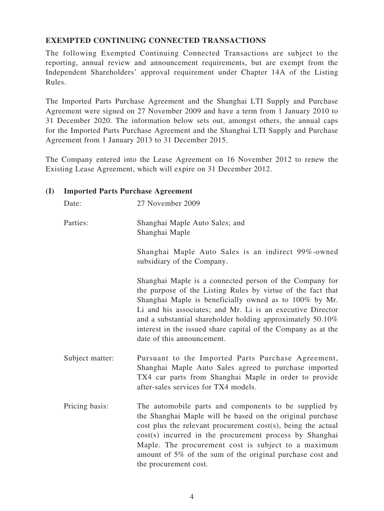## **EXEMPTED CONTINUING CONNECTED TRANSACTIONS**

The following Exempted Continuing Connected Transactions are subject to the reporting, annual review and announcement requirements, but are exempt from the Independent Shareholders' approval requirement under Chapter 14A of the Listing Rules.

The Imported Parts Purchase Agreement and the Shanghai LTI Supply and Purchase Agreement were signed on 27 November 2009 and have a term from 1 January 2010 to 31 December 2020. The information below sets out, amongst others, the annual caps for the Imported Parts Purchase Agreement and the Shanghai LTI Supply and Purchase Agreement from 1 January 2013 to 31 December 2015.

The Company entered into the Lease Agreement on 16 November 2012 to renew the Existing Lease Agreement, which will expire on 31 December 2012.

#### **(I) Imported Parts Purchase Agreement**

Date: 27 November 2009

Parties: Shanghai Maple Auto Sales; and Shanghai Maple

> Shanghai Maple Auto Sales is an indirect 99%-owned subsidiary of the Company.

Shanghai Maple is a connected person of the Company for the purpose of the Listing Rules by virtue of the fact that Shanghai Maple is beneficially owned as to 100% by Mr. Li and his associates; and Mr. Li is an executive Director and a substantial shareholder holding approximately 50.10% interest in the issued share capital of the Company as at the date of this announcement.

- Subject matter: Pursuant to the Imported Parts Purchase Agreement, Shanghai Maple Auto Sales agreed to purchase imported TX4 car parts from Shanghai Maple in order to provide after-sales services for TX4 models.
- Pricing basis: The automobile parts and components to be supplied by the Shanghai Maple will be based on the original purchase cost plus the relevant procurement cost(s), being the actual cost(s) incurred in the procurement process by Shanghai Maple. The procurement cost is subject to a maximum amount of 5% of the sum of the original purchase cost and the procurement cost.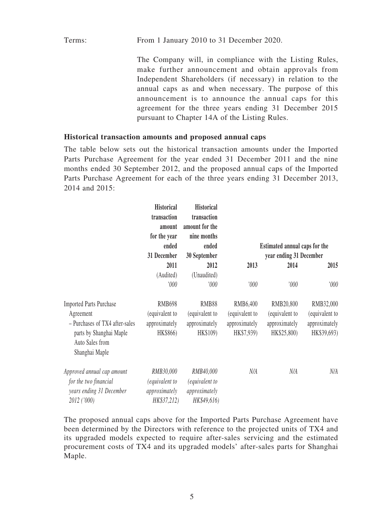Terms: From 1 January 2010 to 31 December 2020.

The Company will, in compliance with the Listing Rules, make further announcement and obtain approvals from Independent Shareholders (if necessary) in relation to the annual caps as and when necessary. The purpose of this announcement is to announce the annual caps for this agreement for the three years ending 31 December 2015 pursuant to Chapter 14A of the Listing Rules.

#### **Historical transaction amounts and proposed annual caps**

The table below sets out the historical transaction amounts under the Imported Parts Purchase Agreement for the year ended 31 December 2011 and the nine months ended 30 September 2012, and the proposed annual caps of the Imported Parts Purchase Agreement for each of the three years ending 31 December 2013, 2014 and 2015:

|                                                              | <b>Historical</b><br>transaction<br>amount | <b>Historical</b><br>transaction<br>amount for the |                |                               |                |
|--------------------------------------------------------------|--------------------------------------------|----------------------------------------------------|----------------|-------------------------------|----------------|
|                                                              | for the year                               | nine months                                        |                |                               |                |
|                                                              | ended                                      | ended                                              |                | Estimated annual caps for the |                |
|                                                              | 31 December                                | 30 September                                       |                | year ending 31 December       |                |
|                                                              | 2011                                       | 2012                                               | 2013           | 2014                          | 2015           |
|                                                              | (Audited)                                  | (Unaudited)                                        |                |                               |                |
|                                                              | '000                                       | '000                                               | '000'          | 000'                          | '000           |
| <b>Imported Parts Purchase</b>                               | <b>RMB698</b>                              | RMB88                                              | RMB6,400       | RMB20,800                     | RMB32,000      |
| Agreement                                                    | (equivalent to                             | (equivalent to                                     | (equivalent to | (equivalent to                | (equivalent to |
| - Purchases of TX4 after-sales                               | approximately                              | approximately                                      | approximately  | approximately                 | approximately  |
| parts by Shanghai Maple<br>Auto Sales from<br>Shanghai Maple | HK\$866)                                   | HK\$109)                                           | HK\$7,939)     | HK\$25,800)                   | HK\$39,693)    |
| Approved annual cap amount                                   | RMB30,000                                  | RMB40,000                                          | N/A            | N/A                           | N/A            |
| for the two financial                                        | (equivalent to                             | (equivalent to                                     |                |                               |                |
| years ending 31 December                                     | approximately                              | approximately                                      |                |                               |                |
| 2012 ('000)                                                  | HK\$37,212)                                | HK\$49,616)                                        |                |                               |                |

The proposed annual caps above for the Imported Parts Purchase Agreement have been determined by the Directors with reference to the projected units of TX4 and its upgraded models expected to require after-sales servicing and the estimated procurement costs of TX4 and its upgraded models' after-sales parts for Shanghai Maple.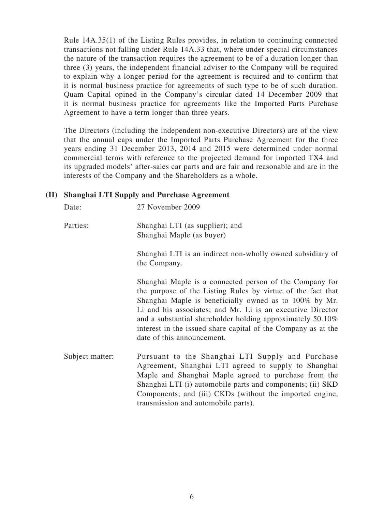Rule 14A.35(1) of the Listing Rules provides, in relation to continuing connected transactions not falling under Rule 14A.33 that, where under special circumstances the nature of the transaction requires the agreement to be of a duration longer than three (3) years, the independent financial adviser to the Company will be required to explain why a longer period for the agreement is required and to confirm that it is normal business practice for agreements of such type to be of such duration. Quam Capital opined in the Company's circular dated 14 December 2009 that it is normal business practice for agreements like the Imported Parts Purchase Agreement to have a term longer than three years.

The Directors (including the independent non-executive Directors) are of the view that the annual caps under the Imported Parts Purchase Agreement for the three years ending 31 December 2013, 2014 and 2015 were determined under normal commercial terms with reference to the projected demand for imported TX4 and its upgraded models' after-sales car parts and are fair and reasonable and are in the interests of the Company and the Shareholders as a whole.

#### **(II) Shanghai LTI Supply and Purchase Agreement**

| Date:           | 27 November 2009                                                                                                                                                                                                                                                                                                                                                                                            |
|-----------------|-------------------------------------------------------------------------------------------------------------------------------------------------------------------------------------------------------------------------------------------------------------------------------------------------------------------------------------------------------------------------------------------------------------|
| Parties:        | Shanghai LTI (as supplier); and<br>Shanghai Maple (as buyer)                                                                                                                                                                                                                                                                                                                                                |
|                 | Shanghai LTI is an indirect non-wholly owned subsidiary of<br>the Company.                                                                                                                                                                                                                                                                                                                                  |
|                 | Shanghai Maple is a connected person of the Company for<br>the purpose of the Listing Rules by virtue of the fact that<br>Shanghai Maple is beneficially owned as to 100% by Mr.<br>Li and his associates; and Mr. Li is an executive Director<br>and a substantial shareholder holding approximately 50.10%<br>interest in the issued share capital of the Company as at the<br>date of this announcement. |
| Subject matter: | Pursuant to the Shanghai LTI Supply and Purchase<br>Agreement, Shanghai LTI agreed to supply to Shanghai<br>Maple and Shanghai Maple agreed to purchase from the<br>Shanghai LTI (i) automobile parts and components; (ii) SKD<br>Components; and (iii) CKDs (without the imported engine,<br>transmission and automobile parts).                                                                           |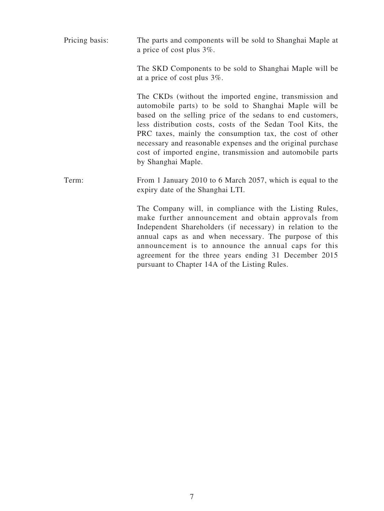Pricing basis: The parts and components will be sold to Shanghai Maple at a price of cost plus 3%.

> The SKD Components to be sold to Shanghai Maple will be at a price of cost plus 3%.

> The CKDs (without the imported engine, transmission and automobile parts) to be sold to Shanghai Maple will be based on the selling price of the sedans to end customers, less distribution costs, costs of the Sedan Tool Kits, the PRC taxes, mainly the consumption tax, the cost of other necessary and reasonable expenses and the original purchase cost of imported engine, transmission and automobile parts by Shanghai Maple.

Term: From 1 January 2010 to 6 March 2057, which is equal to the expiry date of the Shanghai LTI.

> The Company will, in compliance with the Listing Rules, make further announcement and obtain approvals from Independent Shareholders (if necessary) in relation to the annual caps as and when necessary. The purpose of this announcement is to announce the annual caps for this agreement for the three years ending 31 December 2015 pursuant to Chapter 14A of the Listing Rules.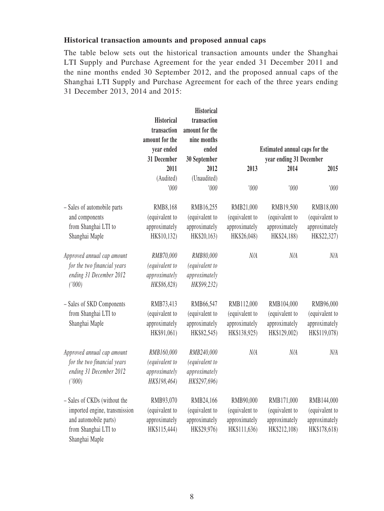#### **Historical transaction amounts and proposed annual caps**

The table below sets out the historical transaction amounts under the Shanghai LTI Supply and Purchase Agreement for the year ended 31 December 2011 and the nine months ended 30 September 2012, and the proposed annual caps of the Shanghai LTI Supply and Purchase Agreement for each of the three years ending 31 December 2013, 2014 and 2015:

|                               |                   | <b>Historical</b> |                |                               |                |
|-------------------------------|-------------------|-------------------|----------------|-------------------------------|----------------|
|                               | <b>Historical</b> | transaction       |                |                               |                |
|                               | transaction       | amount for the    |                |                               |                |
|                               | amount for the    | nine months       |                |                               |                |
|                               | year ended        | ended             |                | Estimated annual caps for the |                |
|                               | 31 December       | 30 September      |                | year ending 31 December       |                |
|                               | 2011              | 2012              | 2013           | 2014                          | 2015           |
|                               | (Audited)         | (Unaudited)       |                |                               |                |
|                               | '000              | '000              | '000           | '000                          | '000           |
| - Sales of automobile parts   | RMB8,168          | RMB16,255         | RMB21,000      | RMB19,500                     | RMB18,000      |
| and components                | (equivalent to    | (equivalent to    | (equivalent to | (equivalent to                | (equivalent to |
| from Shanghai LTI to          | approximately     | approximately     | approximately  | approximately                 | approximately  |
| Shanghai Maple                | HK\$10,132)       | HK\$20,163)       | HK\$26,048)    | HK\$24,188)                   | HK\$22,327)    |
| Approved annual cap amount    | RMB70,000         | RMB80,000         | N/A            | N/A                           | N/A            |
| for the two financial years   | (equivalent to    | (equivalent to    |                |                               |                |
| ending 31 December 2012       | approximately     | approximately     |                |                               |                |
| ('000)                        | HK\$86,828)       | HK\$99,232)       |                |                               |                |
| - Sales of SKD Components     | RMB73,413         | RMB66,547         | RMB112,000     | RMB104,000                    | RMB96,000      |
| from Shanghai LTI to          | (equivalent to    | (equivalent to    | (equivalent to | (equivalent to                | (equivalent to |
| Shanghai Maple                | approximately     | approximately     | approximately  | approximately                 | approximately  |
|                               | HK\$91,061)       | HK\$82,545)       | HK\$138,925)   | HK\$129,002)                  | HK\$119,078)   |
| Approved annual cap amount    | RMB160,000        | RMB240,000        | N/A            | N/A                           | N/A            |
| for the two financial years   | (equivalent to    | (equivalent to    |                |                               |                |
| ending 31 December 2012       | approximately     | approximately     |                |                               |                |
| ('000)                        | HK\$198,464)      | HK\$297,696)      |                |                               |                |
| - Sales of CKDs (without the  | RMB93,070         | RMB24,166         | RMB90,000      | RMB171,000                    | RMB144,000     |
| imported engine, transmission | (equivalent to    | (equivalent to    | (equivalent to | (equivalent to                | (equivalent to |
| and automobile parts)         | approximately     | approximately     | approximately  | approximately                 | approximately  |
| from Shanghai LTI to          | HK\$115,444)      | HK\$29,976)       | HK\$111,636)   | HK\$212,108)                  | HK\$178,618)   |
| Shanghai Maple                |                   |                   |                |                               |                |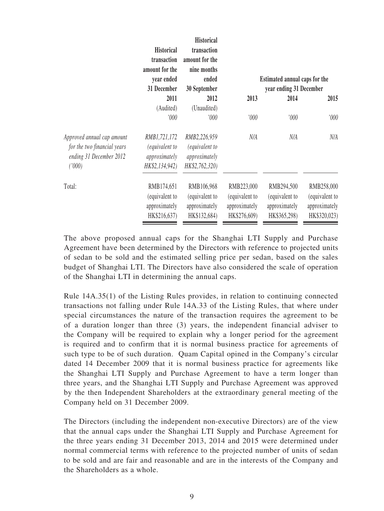|                                                                                                | <b>Historical</b><br>transaction<br>amount for the<br>year ended<br>31 December | <b>Historical</b><br>transaction<br>amount for the<br>nine months<br>ended<br>30 September |                                                               | Estimated annual caps for the<br>year ending 31 December      |                                                               |
|------------------------------------------------------------------------------------------------|---------------------------------------------------------------------------------|--------------------------------------------------------------------------------------------|---------------------------------------------------------------|---------------------------------------------------------------|---------------------------------------------------------------|
|                                                                                                | 2011                                                                            | 2012                                                                                       | 2013                                                          | 2014                                                          | 2015                                                          |
|                                                                                                | (Audited)                                                                       | (Unaudited)                                                                                |                                                               |                                                               |                                                               |
|                                                                                                | '000                                                                            | '000                                                                                       | 000'                                                          | 000'                                                          | 000'                                                          |
| Approved annual cap amount<br>for the two financial years<br>ending 31 December 2012<br>('000) | RMB1,721,172<br><i>(equivalent to</i><br>approximately<br>HK\$2,134,942)        | RMB2,226,959<br>(equivalent to<br>approximately<br>HK\$2,762,320)                          | N/A                                                           | N/A                                                           | N/A                                                           |
| Total:                                                                                         | RMB174,651<br>(equivalent to<br>approximately<br>HK\$216,637)                   | RMB106,968<br>(equivalent to<br>approximately<br>HK\$132,684)                              | RMB223,000<br>(equivalent to<br>approximately<br>HK\$276,609) | RMB294,500<br>(equivalent to<br>approximately<br>HK\$365,298) | RMB258,000<br>(equivalent to<br>approximately<br>HK\$320,023) |

The above proposed annual caps for the Shanghai LTI Supply and Purchase Agreement have been determined by the Directors with reference to projected units of sedan to be sold and the estimated selling price per sedan, based on the sales budget of Shanghai LTI. The Directors have also considered the scale of operation of the Shanghai LTI in determining the annual caps.

Rule 14A.35(1) of the Listing Rules provides, in relation to continuing connected transactions not falling under Rule 14A.33 of the Listing Rules, that where under special circumstances the nature of the transaction requires the agreement to be of a duration longer than three (3) years, the independent financial adviser to the Company will be required to explain why a longer period for the agreement is required and to confirm that it is normal business practice for agreements of such type to be of such duration. Quam Capital opined in the Company's circular dated 14 December 2009 that it is normal business practice for agreements like the Shanghai LTI Supply and Purchase Agreement to have a term longer than three years, and the Shanghai LTI Supply and Purchase Agreement was approved by the then Independent Shareholders at the extraordinary general meeting of the Company held on 31 December 2009.

The Directors (including the independent non-executive Directors) are of the view that the annual caps under the Shanghai LTI Supply and Purchase Agreement for the three years ending 31 December 2013, 2014 and 2015 were determined under normal commercial terms with reference to the projected number of units of sedan to be sold and are fair and reasonable and are in the interests of the Company and the Shareholders as a whole.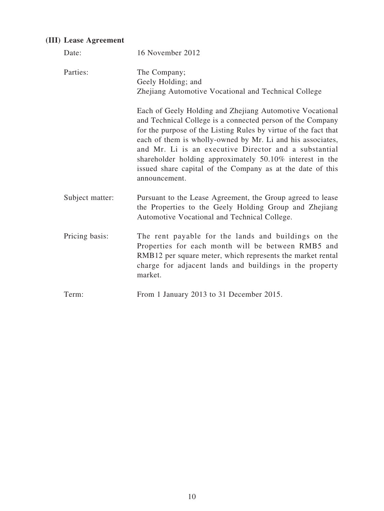## **(III) Lease Agreement**

| Date:           | 16 November 2012                                                                                                                                                                                                                                                                                                                                                                                                                                            |
|-----------------|-------------------------------------------------------------------------------------------------------------------------------------------------------------------------------------------------------------------------------------------------------------------------------------------------------------------------------------------------------------------------------------------------------------------------------------------------------------|
| Parties:        | The Company;<br>Geely Holding; and<br>Zhejiang Automotive Vocational and Technical College                                                                                                                                                                                                                                                                                                                                                                  |
|                 | Each of Geely Holding and Zhejiang Automotive Vocational<br>and Technical College is a connected person of the Company<br>for the purpose of the Listing Rules by virtue of the fact that<br>each of them is wholly-owned by Mr. Li and his associates,<br>and Mr. Li is an executive Director and a substantial<br>shareholder holding approximately 50.10% interest in the<br>issued share capital of the Company as at the date of this<br>announcement. |
| Subject matter: | Pursuant to the Lease Agreement, the Group agreed to lease<br>the Properties to the Geely Holding Group and Zhejiang<br>Automotive Vocational and Technical College.                                                                                                                                                                                                                                                                                        |
| Pricing basis:  | The rent payable for the lands and buildings on the<br>Properties for each month will be between RMB5 and<br>RMB12 per square meter, which represents the market rental<br>charge for adjacent lands and buildings in the property<br>market.                                                                                                                                                                                                               |
| Term:           | From 1 January 2013 to 31 December 2015.                                                                                                                                                                                                                                                                                                                                                                                                                    |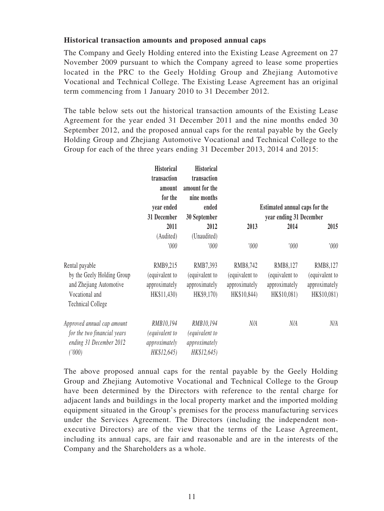#### **Historical transaction amounts and proposed annual caps**

The Company and Geely Holding entered into the Existing Lease Agreement on 27 November 2009 pursuant to which the Company agreed to lease some properties located in the PRC to the Geely Holding Group and Zhejiang Automotive Vocational and Technical College. The Existing Lease Agreement has an original term commencing from 1 January 2010 to 31 December 2012.

The table below sets out the historical transaction amounts of the Existing Lease Agreement for the year ended 31 December 2011 and the nine months ended 30 September 2012, and the proposed annual caps for the rental payable by the Geely Holding Group and Zhejiang Automotive Vocational and Technical College to the Group for each of the three years ending 31 December 2013, 2014 and 2015:

| <b>Historical</b>           |                | <b>Historical</b> |                |                               |                |
|-----------------------------|----------------|-------------------|----------------|-------------------------------|----------------|
|                             | transaction    | transaction       |                |                               |                |
|                             | amount         | amount for the    |                |                               |                |
|                             | for the        | nine months       |                |                               |                |
|                             | vear ended     | ended             |                | Estimated annual caps for the |                |
|                             | 31 December    | 30 September      |                | year ending 31 December       |                |
|                             | 2011           | 2012              | 2013           | 2014                          | 2015           |
|                             | (Audited)      | (Unaudited)       |                |                               |                |
|                             | '000           | '000              | '000           | 000'                          | 000'           |
| Rental payable              | RMB9,215       | RMB7,393          | RMB8,742       | RMB8,127                      | RMB8,127       |
| by the Geely Holding Group  | (equivalent to | (equivalent to    | (equivalent to | (equivalent to                | (equivalent to |
| and Zhejiang Automotive     | approximately  | approximately     | approximately  | approximately                 | approximately  |
| Vocational and              | HK\$11,430)    | HK\$9,170)        | HK\$10,844)    | HK\$10,081)                   | HK\$10,081)    |
| <b>Technical College</b>    |                |                   |                |                               |                |
| Approved annual cap amount  | RMB10,194      | RMB10,194         | N/A            | N/A                           | N/A            |
| for the two financial years | equivalent to  | (equivalent to    |                |                               |                |
| ending 31 December 2012     | approximately  | approximately     |                |                               |                |
| (1000)                      | HK\$12,645)    | HK\$12,645)       |                |                               |                |

The above proposed annual caps for the rental payable by the Geely Holding Group and Zhejiang Automotive Vocational and Technical College to the Group have been determined by the Directors with reference to the rental charge for adjacent lands and buildings in the local property market and the imported molding equipment situated in the Group's premises for the process manufacturing services under the Services Agreement. The Directors (including the independent nonexecutive Directors) are of the view that the terms of the Lease Agreement, including its annual caps, are fair and reasonable and are in the interests of the Company and the Shareholders as a whole.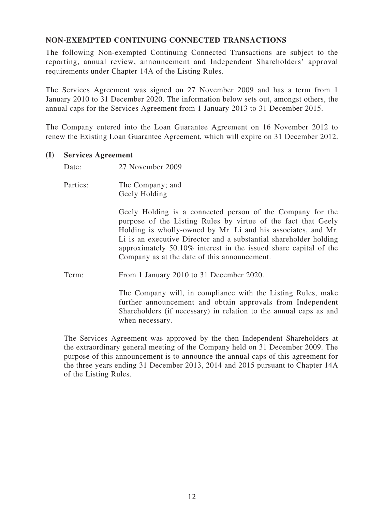#### **NON-EXEMPTED CONTINUING CONNECTED TRANSACTIONS**

The following Non-exempted Continuing Connected Transactions are subject to the reporting, annual review, announcement and Independent Shareholders' approval requirements under Chapter 14A of the Listing Rules.

The Services Agreement was signed on 27 November 2009 and has a term from 1 January 2010 to 31 December 2020. The information below sets out, amongst others, the annual caps for the Services Agreement from 1 January 2013 to 31 December 2015.

The Company entered into the Loan Guarantee Agreement on 16 November 2012 to renew the Existing Loan Guarantee Agreement, which will expire on 31 December 2012.

#### **(I) Services Agreement**

Date: 27 November 2009

Parties: The Company; and Geely Holding

> Geely Holding is a connected person of the Company for the purpose of the Listing Rules by virtue of the fact that Geely Holding is wholly-owned by Mr. Li and his associates, and Mr. Li is an executive Director and a substantial shareholder holding approximately 50.10% interest in the issued share capital of the Company as at the date of this announcement.

Term: From 1 January 2010 to 31 December 2020.

The Company will, in compliance with the Listing Rules, make further announcement and obtain approvals from Independent Shareholders (if necessary) in relation to the annual caps as and when necessary.

The Services Agreement was approved by the then Independent Shareholders at the extraordinary general meeting of the Company held on 31 December 2009. The purpose of this announcement is to announce the annual caps of this agreement for the three years ending 31 December 2013, 2014 and 2015 pursuant to Chapter 14A of the Listing Rules.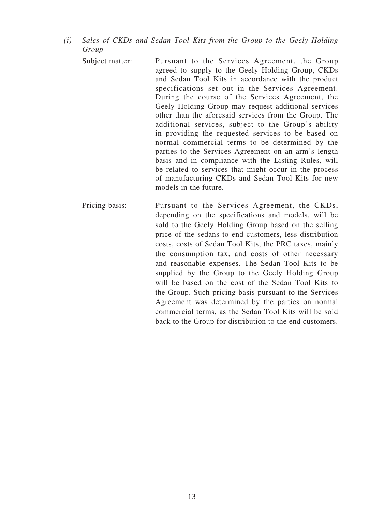- *(i) Sales of CKDs and Sedan Tool Kits from the Group to the Geely Holding Group*
	- Subject matter: Pursuant to the Services Agreement, the Group agreed to supply to the Geely Holding Group, CKDs and Sedan Tool Kits in accordance with the product specifications set out in the Services Agreement. During the course of the Services Agreement, the Geely Holding Group may request additional services other than the aforesaid services from the Group. The additional services, subject to the Group's ability in providing the requested services to be based on normal commercial terms to be determined by the parties to the Services Agreement on an arm's length basis and in compliance with the Listing Rules, will be related to services that might occur in the process of manufacturing CKDs and Sedan Tool Kits for new models in the future.
	- Pricing basis: Pursuant to the Services Agreement, the CKDs, depending on the specifications and models, will be sold to the Geely Holding Group based on the selling price of the sedans to end customers, less distribution costs, costs of Sedan Tool Kits, the PRC taxes, mainly the consumption tax, and costs of other necessary and reasonable expenses. The Sedan Tool Kits to be supplied by the Group to the Geely Holding Group will be based on the cost of the Sedan Tool Kits to the Group. Such pricing basis pursuant to the Services Agreement was determined by the parties on normal commercial terms, as the Sedan Tool Kits will be sold back to the Group for distribution to the end customers.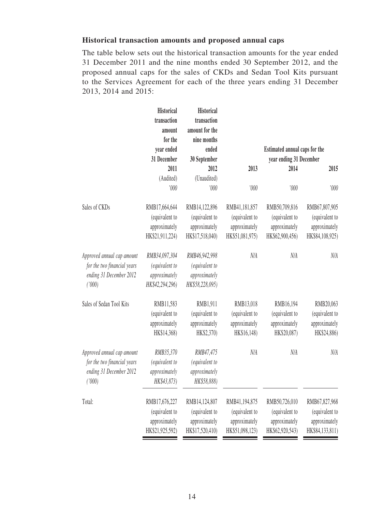#### **Historical transaction amounts and proposed annual caps**

The table below sets out the historical transaction amounts for the year ended 31 December 2011 and the nine months ended 30 September 2012, and the proposed annual caps for the sales of CKDs and Sedan Tool Kits pursuant to the Services Agreement for each of the three years ending 31 December 2013, 2014 and 2015:

|                             | <b>Historical</b><br>transaction<br>amount<br>for the | <b>Historical</b><br>transaction<br>amount for the<br>nine months |                 |                               |                 |
|-----------------------------|-------------------------------------------------------|-------------------------------------------------------------------|-----------------|-------------------------------|-----------------|
|                             | year ended                                            | ended                                                             |                 | Estimated annual caps for the |                 |
|                             | 31 December                                           | 30 September                                                      |                 | year ending 31 December       |                 |
|                             | 2011                                                  | 2012                                                              | 2013            | 2014                          | 2015            |
|                             | (Audited)                                             | (Unaudited)                                                       |                 |                               |                 |
|                             | '000                                                  | '000                                                              | '000            | '000                          | '000            |
| Sales of CKDs               | RMB17,664,644                                         | RMB14,122,896                                                     | RMB41,181,857   | RMB50,709,816                 | RMB67,807,905   |
|                             | (equivalent to                                        | (equivalent to                                                    | (equivalent to  | (equivalent to                | (equivalent to  |
|                             | approximately                                         | approximately                                                     | approximately   | approximately                 | approximately   |
|                             | HK\$21,911,224)                                       | HK\$17,518,040)                                                   | HK\$51,081,975) | HK\$62,900,456)               | HK\$84,108,925) |
| Approved annual cap amount  | RMB34,097,304                                         | RMB46,942,998                                                     | N/A             | N/A                           | $N\!/\!A$       |
| for the two financial years | (equivalent to                                        | (equivalent to                                                    |                 |                               |                 |
| ending 31 December 2012     | approximately                                         | approximately                                                     |                 |                               |                 |
| (1000)                      | HK\$42,294,296)                                       | HK\$58,228,095)                                                   |                 |                               |                 |
| Sales of Sedan Tool Kits    | RMB11,583                                             | RMB1,911                                                          | RMB13,018       | RMB16,194                     | RMB20,063       |
|                             | (equivalent to                                        | (equivalent to                                                    | (equivalent to  | (equivalent to                | (equivalent to  |
|                             | approximately                                         | approximately                                                     | approximately   | approximately                 | approximately   |
|                             | HK\$14,368)                                           | HK\$2,370)                                                        | HK\$16,148)     | HK\$20,087)                   | HK\$24,886)     |
| Approved annual cap amount  | RMB35,370                                             | RMB47,475                                                         | N/A             | N/A                           | $N\!/\!A$       |
| for the two financial years | (equivalent to                                        | (equivalent to                                                    |                 |                               |                 |
| ending 31 December 2012     | approximately                                         | approximately                                                     |                 |                               |                 |
| ('000)                      | HK\$43,873)                                           | HK\$58,888)                                                       |                 |                               |                 |
| Total:                      | RMB17,676,227                                         | RMB14,124,807                                                     | RMB41,194,875   | RMB50,726,010                 | RMB67,827,968   |
|                             | (equivalent to                                        | (equivalent to                                                    | (equivalent to  | (equivalent to                | (equivalent to  |
|                             | approximately                                         | approximately                                                     | approximately   | approximately                 | approximately   |
|                             | HK\$21,925,592)                                       | HK\$17,520,410)                                                   | HK\$51,098,123) | HK\$62,920,543)               | HK\$84,133,811) |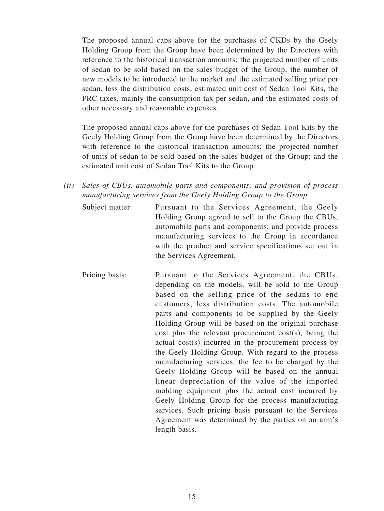The proposed annual caps above for the purchases of CKDs by the Geely Holding Group from the Group have been determined by the Directors with reference to the historical transaction amounts; the projected number of units of sedan to be sold based on the sales budget of the Group, the number of new models to be introduced to the market and the estimated selling price per sedan, less the distribution costs, estimated unit cost of Sedan Tool Kits, the PRC taxes, mainly the consumption tax per sedan, and the estimated costs of other necessary and reasonable expenses.

The proposed annual caps above for the purchases of Sedan Tool Kits by the Geely Holding Group from the Group have been determined by the Directors with reference to the historical transaction amounts; the projected number of units of sedan to be sold based on the sales budget of the Group; and the estimated unit cost of Sedan Tool Kits to the Group.

- *(ii) Sales of CBUs, automobile parts and components; and provision of process manufacturing services from the Geely Holding Group to the Group*
	- Subject matter: Pursuant to the Services Agreement, the Geely Holding Group agreed to sell to the Group the CBUs, automobile parts and components; and provide process manufacturing services to the Group in accordance with the product and service specifications set out in the Services Agreement.
	- Pricing basis: Pursuant to the Services Agreement, the CBUs, depending on the models, will be sold to the Group based on the selling price of the sedans to end customers, less distribution costs. The automobile parts and components to be supplied by the Geely Holding Group will be based on the original purchase cost plus the relevant procurement cost(s), being the actual cost(s) incurred in the procurement process by the Geely Holding Group. With regard to the process manufacturing services, the fee to be charged by the Geely Holding Group will be based on the annual linear depreciation of the value of the imported molding equipment plus the actual cost incurred by Geely Holding Group for the process manufacturing services. Such pricing basis pursuant to the Services Agreement was determined by the parties on an arm's length basis.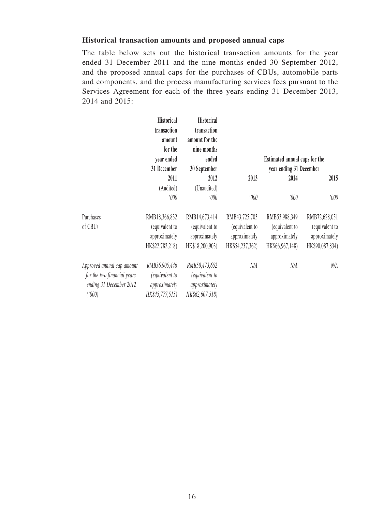#### **Historical transaction amounts and proposed annual caps**

The table below sets out the historical transaction amounts for the year ended 31 December 2011 and the nine months ended 30 September 2012, and the proposed annual caps for the purchases of CBUs, automobile parts and components, and the process manufacturing services fees pursuant to the Services Agreement for each of the three years ending 31 December 2013, 2014 and 2015:

|                             | <b>Historical</b> | <b>Historical</b> |                 |                               |                 |  |
|-----------------------------|-------------------|-------------------|-----------------|-------------------------------|-----------------|--|
|                             | transaction       | transaction       |                 |                               |                 |  |
|                             | amount            | amount for the    |                 |                               |                 |  |
|                             | for the           | nine months       |                 |                               |                 |  |
|                             | year ended        | ended             |                 | Estimated annual caps for the |                 |  |
|                             | 31 December       | 30 September      |                 | year ending 31 December       |                 |  |
|                             | 2011              | 2012              | 2013            | 2014                          | 2015            |  |
|                             | (Audited)         | (Unaudited)       |                 |                               |                 |  |
|                             | 000'              | 000'              | '000            | '000                          | '000            |  |
| Purchases                   | RMB18,366,832     | RMB14,673,414     | RMB43,725,703   | RMB53,988,349                 | RMB72,628,051   |  |
| of CBUs                     | (equivalent to    | (equivalent to    | (equivalent to  | (equivalent to                | (equivalent to  |  |
|                             | approximately     | approximately     | approximately   | approximately                 | approximately   |  |
|                             | HK\$22,782,218)   | HK\$18,200,903)   | HK\$54,237,362) | HK\$66,967,148)               | HK\$90,087,834) |  |
| Approved annual cap amount  | RMB36,905,446     | RMB50,473,652     | N/A             | N/A                           | N/A             |  |
| for the two financial years | (equivalent to    | (equivalent to    |                 |                               |                 |  |
| ending 31 December 2012     | approximately     | approximately     |                 |                               |                 |  |
| (1000)                      | HK\$45,777,515)   | HK\$62,607,518)   |                 |                               |                 |  |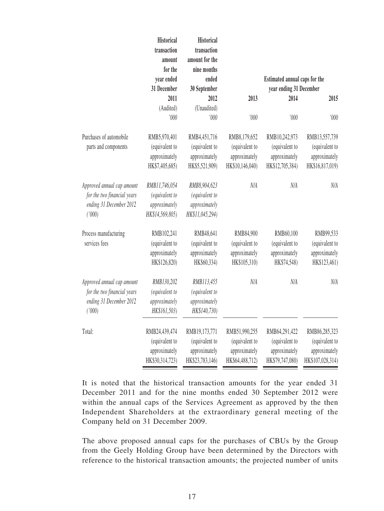|                             | <b>Historical</b><br>transaction<br>amount<br>for the<br>year ended | <b>Historical</b><br>transaction<br>amount for the<br>nine months<br>ended |                 | Estimated annual caps for the |                  |
|-----------------------------|---------------------------------------------------------------------|----------------------------------------------------------------------------|-----------------|-------------------------------|------------------|
|                             | 31 December                                                         | 30 September                                                               |                 | year ending 31 December       |                  |
|                             | 2011                                                                | 2012                                                                       | 2013            | 2014                          | 2015             |
|                             | (Audited)                                                           | (Unaudited)                                                                |                 |                               |                  |
|                             | '000                                                                | '000                                                                       | '000            | '000                          | '000             |
| Purchases of automobile     | RMB5,970,401                                                        | RMB4,451,716                                                               | RMB8,179,652    | RMB10,242,973                 | RMB13,557,739    |
| parts and components        | (equivalent to                                                      | (equivalent to                                                             | (equivalent to  | (equivalent to                | (equivalent to   |
|                             | approximately                                                       | approximately                                                              | approximately   | approximately                 | approximately    |
|                             | HK\$7,405,685)                                                      | HK\$5,521,909)                                                             | HK\$10,146,040) | HK\$12,705,384)               | HK\$16,817,019)  |
| Approved annual cap amount  | RMB11,746,054                                                       | RMB8,904,623                                                               | N/A             | N/A                           | N/A              |
| for the two financial years | (equivalent to                                                      | (equivalent to                                                             |                 |                               |                  |
| ending 31 December 2012     | approximately                                                       | approximately                                                              |                 |                               |                  |
| ('000)                      | HK\$14,569,805)                                                     | HK\$11,045,294)                                                            |                 |                               |                  |
| Process manufacturing       | RMB102,241                                                          | RMB48,641                                                                  | RMB84,900       | RMB60,100                     | RMB99,533        |
| services fees               | (equivalent to                                                      | (equivalent to                                                             | (equivalent to  | (equivalent to                | (equivalent to   |
|                             | approximately                                                       | approximately                                                              | approximately   | approximately                 | approximately    |
|                             | HK\$126,820)                                                        | HK\$60,334)                                                                | HK\$105,310)    | HK\$74,548)                   | HK\$123,461)     |
| Approved annual cap amount  | RMB130,202                                                          | RMB113,455                                                                 | N/A             | N/A                           | N/A              |
| for the two financial years | (equivalent to                                                      | (equivalent to                                                             |                 |                               |                  |
| ending 31 December 2012     | approximately                                                       | approximately                                                              |                 |                               |                  |
| ('000)                      | HK\$161,503)                                                        | HK\$140,730)                                                               |                 |                               |                  |
| Total:                      | RMB24,439,474                                                       | RMB19,173,771                                                              | RMB51,990,255   | RMB64,291,422                 | RMB86,285,323    |
|                             | (equivalent to                                                      | (equivalent to                                                             | (equivalent to  | (equivalent to                | (equivalent to   |
|                             | approximately                                                       | approximately                                                              | approximately   | approximately                 | approximately    |
|                             | HK\$30,314,723)                                                     | HK\$23,783,146)                                                            | HK\$64,488,712) | HK\$79,747,080)               | HK\$107,028,314) |

It is noted that the historical transaction amounts for the year ended 31 December 2011 and for the nine months ended 30 September 2012 were within the annual caps of the Services Agreement as approved by the then Independent Shareholders at the extraordinary general meeting of the Company held on 31 December 2009.

The above proposed annual caps for the purchases of CBUs by the Group from the Geely Holding Group have been determined by the Directors with reference to the historical transaction amounts; the projected number of units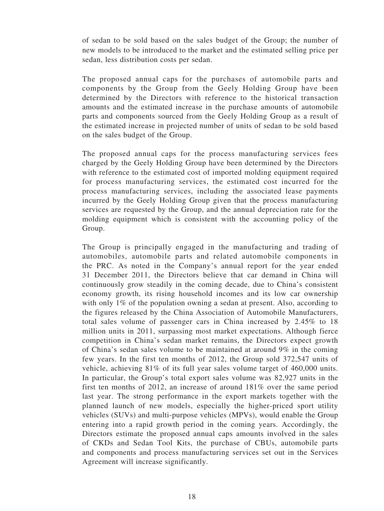of sedan to be sold based on the sales budget of the Group; the number of new models to be introduced to the market and the estimated selling price per sedan, less distribution costs per sedan.

The proposed annual caps for the purchases of automobile parts and components by the Group from the Geely Holding Group have been determined by the Directors with reference to the historical transaction amounts and the estimated increase in the purchase amounts of automobile parts and components sourced from the Geely Holding Group as a result of the estimated increase in projected number of units of sedan to be sold based on the sales budget of the Group.

The proposed annual caps for the process manufacturing services fees charged by the Geely Holding Group have been determined by the Directors with reference to the estimated cost of imported molding equipment required for process manufacturing services, the estimated cost incurred for the process manufacturing services, including the associated lease payments incurred by the Geely Holding Group given that the process manufacturing services are requested by the Group, and the annual depreciation rate for the molding equipment which is consistent with the accounting policy of the Group.

The Group is principally engaged in the manufacturing and trading of automobiles, automobile parts and related automobile components in the PRC. As noted in the Company's annual report for the year ended 31 December 2011, the Directors believe that car demand in China will continuously grow steadily in the coming decade, due to China's consistent economy growth, its rising household incomes and its low car ownership with only 1% of the population owning a sedan at present. Also, according to the figures released by the China Association of Automobile Manufacturers, total sales volume of passenger cars in China increased by 2.45% to 18 million units in 2011, surpassing most market expectations. Although fierce competition in China's sedan market remains, the Directors expect growth of China's sedan sales volume to be maintained at around 9% in the coming few years. In the first ten months of 2012, the Group sold 372,547 units of vehicle, achieving 81% of its full year sales volume target of 460,000 units. In particular, the Group's total export sales volume was 82,927 units in the first ten months of 2012, an increase of around 181% over the same period last year. The strong performance in the export markets together with the planned launch of new models, especially the higher-priced sport utility vehicles (SUVs) and multi-purpose vehicles (MPVs), would enable the Group entering into a rapid growth period in the coming years. Accordingly, the Directors estimate the proposed annual caps amounts involved in the sales of CKDs and Sedan Tool Kits, the purchase of CBUs, automobile parts and components and process manufacturing services set out in the Services Agreement will increase significantly.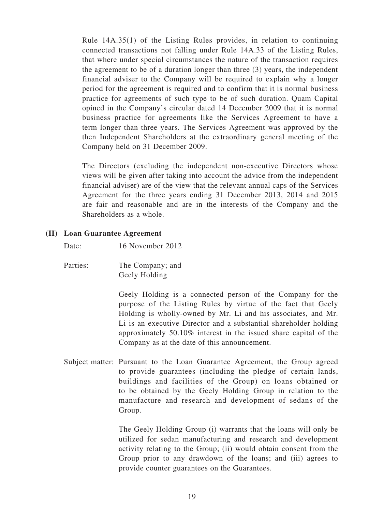Rule 14A.35(1) of the Listing Rules provides, in relation to continuing connected transactions not falling under Rule 14A.33 of the Listing Rules, that where under special circumstances the nature of the transaction requires the agreement to be of a duration longer than three (3) years, the independent financial adviser to the Company will be required to explain why a longer period for the agreement is required and to confirm that it is normal business practice for agreements of such type to be of such duration. Quam Capital opined in the Company's circular dated 14 December 2009 that it is normal business practice for agreements like the Services Agreement to have a term longer than three years. The Services Agreement was approved by the then Independent Shareholders at the extraordinary general meeting of the Company held on 31 December 2009.

The Directors (excluding the independent non-executive Directors whose views will be given after taking into account the advice from the independent financial adviser) are of the view that the relevant annual caps of the Services Agreement for the three years ending 31 December 2013, 2014 and 2015 are fair and reasonable and are in the interests of the Company and the Shareholders as a whole.

#### **(II) Loan Guarantee Agreement**

Date: 16 November 2012

Parties: The Company; and Geely Holding

> Geely Holding is a connected person of the Company for the purpose of the Listing Rules by virtue of the fact that Geely Holding is wholly-owned by Mr. Li and his associates, and Mr. Li is an executive Director and a substantial shareholder holding approximately 50.10% interest in the issued share capital of the Company as at the date of this announcement.

Subject matter: Pursuant to the Loan Guarantee Agreement, the Group agreed to provide guarantees (including the pledge of certain lands, buildings and facilities of the Group) on loans obtained or to be obtained by the Geely Holding Group in relation to the manufacture and research and development of sedans of the Group.

> The Geely Holding Group (i) warrants that the loans will only be utilized for sedan manufacturing and research and development activity relating to the Group; (ii) would obtain consent from the Group prior to any drawdown of the loans; and (iii) agrees to provide counter guarantees on the Guarantees.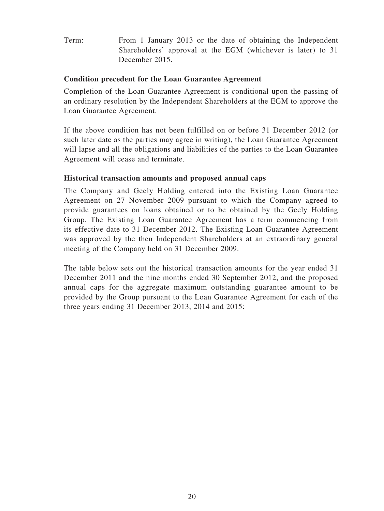Term: From 1 January 2013 or the date of obtaining the Independent Shareholders' approval at the EGM (whichever is later) to 31 December 2015.

#### **Condition precedent for the Loan Guarantee Agreement**

Completion of the Loan Guarantee Agreement is conditional upon the passing of an ordinary resolution by the Independent Shareholders at the EGM to approve the Loan Guarantee Agreement.

If the above condition has not been fulfilled on or before 31 December 2012 (or such later date as the parties may agree in writing), the Loan Guarantee Agreement will lapse and all the obligations and liabilities of the parties to the Loan Guarantee Agreement will cease and terminate.

#### **Historical transaction amounts and proposed annual caps**

The Company and Geely Holding entered into the Existing Loan Guarantee Agreement on 27 November 2009 pursuant to which the Company agreed to provide guarantees on loans obtained or to be obtained by the Geely Holding Group. The Existing Loan Guarantee Agreement has a term commencing from its effective date to 31 December 2012. The Existing Loan Guarantee Agreement was approved by the then Independent Shareholders at an extraordinary general meeting of the Company held on 31 December 2009.

The table below sets out the historical transaction amounts for the year ended 31 December 2011 and the nine months ended 30 September 2012, and the proposed annual caps for the aggregate maximum outstanding guarantee amount to be provided by the Group pursuant to the Loan Guarantee Agreement for each of the three years ending 31 December 2013, 2014 and 2015: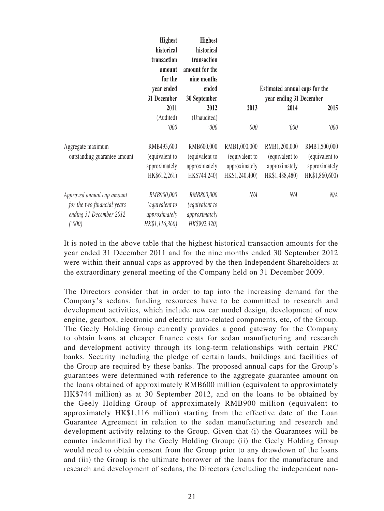|                                                                                                | Highest                                                                | <b>Highest</b>                                                |                                                                   |                                                                   |                                                                   |
|------------------------------------------------------------------------------------------------|------------------------------------------------------------------------|---------------------------------------------------------------|-------------------------------------------------------------------|-------------------------------------------------------------------|-------------------------------------------------------------------|
|                                                                                                | historical                                                             | historical                                                    |                                                                   |                                                                   |                                                                   |
|                                                                                                | transaction                                                            | transaction                                                   |                                                                   |                                                                   |                                                                   |
|                                                                                                | amount                                                                 | amount for the                                                |                                                                   |                                                                   |                                                                   |
|                                                                                                | for the                                                                | nine months                                                   |                                                                   |                                                                   |                                                                   |
|                                                                                                | year ended                                                             | ended                                                         |                                                                   | Estimated annual caps for the                                     |                                                                   |
|                                                                                                | 31 December                                                            | 30 September                                                  |                                                                   | year ending 31 December                                           |                                                                   |
|                                                                                                | 2011                                                                   | 2012                                                          | 2013                                                              | 2014                                                              | 2015                                                              |
|                                                                                                | (Audited)                                                              | (Unaudited)                                                   |                                                                   |                                                                   |                                                                   |
|                                                                                                | '000'                                                                  | '000                                                          | 000'                                                              | '000                                                              | 000'                                                              |
| Aggregate maximum<br>outstanding guarantee amount                                              | RMB493,600<br>(equivalent to<br>approximately<br>HK\$612,261)          | RMB600,000<br>(equivalent to<br>approximately<br>HK\$744,240) | RMB1,000,000<br>(equivalent to<br>approximately<br>HK\$1,240,400) | RMB1,200,000<br>(equivalent to<br>approximately<br>HK\$1,488,480) | RMB1,500,000<br>(equivalent to<br>approximately<br>HK\$1,860,600) |
| Approved annual cap amount<br>for the two financial years<br>ending 31 December 2012<br>(1000) | RMB900,000<br><i>(equivalent to</i><br>approximately<br>HK\$1,116,360) | RMB800,000<br>(equivalent to<br>approximately<br>HK\$992,320) | N/A                                                               | N/A                                                               | N/A                                                               |

It is noted in the above table that the highest historical transaction amounts for the year ended 31 December 2011 and for the nine months ended 30 September 2012 were within their annual caps as approved by the then Independent Shareholders at the extraordinary general meeting of the Company held on 31 December 2009.

The Directors consider that in order to tap into the increasing demand for the Company's sedans, funding resources have to be committed to research and development activities, which include new car model design, development of new engine, gearbox, electronic and electric auto-related components, etc, of the Group. The Geely Holding Group currently provides a good gateway for the Company to obtain loans at cheaper finance costs for sedan manufacturing and research and development activity through its long-term relationships with certain PRC banks. Security including the pledge of certain lands, buildings and facilities of the Group are required by these banks. The proposed annual caps for the Group's guarantees were determined with reference to the aggregate guarantee amount on the loans obtained of approximately RMB600 million (equivalent to approximately HK\$744 million) as at 30 September 2012, and on the loans to be obtained by the Geely Holding Group of approximately RMB900 million (equivalent to approximately HK\$1,116 million) starting from the effective date of the Loan Guarantee Agreement in relation to the sedan manufacturing and research and development activity relating to the Group. Given that (i) the Guarantees will be counter indemnified by the Geely Holding Group; (ii) the Geely Holding Group would need to obtain consent from the Group prior to any drawdown of the loans and (iii) the Group is the ultimate borrower of the loans for the manufacture and research and development of sedans, the Directors (excluding the independent non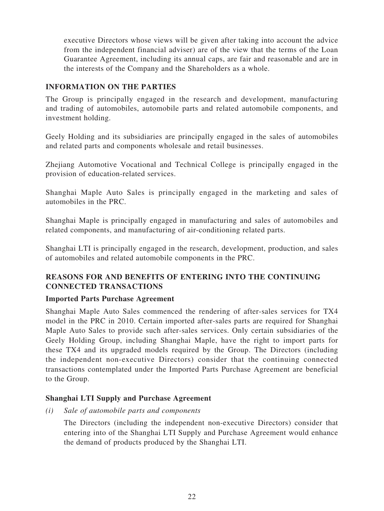executive Directors whose views will be given after taking into account the advice from the independent financial adviser) are of the view that the terms of the Loan Guarantee Agreement, including its annual caps, are fair and reasonable and are in the interests of the Company and the Shareholders as a whole.

#### **INFORMATION ON THE PARTIES**

The Group is principally engaged in the research and development, manufacturing and trading of automobiles, automobile parts and related automobile components, and investment holding.

Geely Holding and its subsidiaries are principally engaged in the sales of automobiles and related parts and components wholesale and retail businesses.

Zhejiang Automotive Vocational and Technical College is principally engaged in the provision of education-related services.

Shanghai Maple Auto Sales is principally engaged in the marketing and sales of automobiles in the PRC.

Shanghai Maple is principally engaged in manufacturing and sales of automobiles and related components, and manufacturing of air-conditioning related parts.

Shanghai LTI is principally engaged in the research, development, production, and sales of automobiles and related automobile components in the PRC.

#### **REASONS FOR AND BENEFITS OF ENTERING INTO THE CONTINUING CONNECTED TRANSACTIONS**

#### **Imported Parts Purchase Agreement**

Shanghai Maple Auto Sales commenced the rendering of after-sales services for TX4 model in the PRC in 2010. Certain imported after-sales parts are required for Shanghai Maple Auto Sales to provide such after-sales services. Only certain subsidiaries of the Geely Holding Group, including Shanghai Maple, have the right to import parts for these TX4 and its upgraded models required by the Group. The Directors (including the independent non-executive Directors) consider that the continuing connected transactions contemplated under the Imported Parts Purchase Agreement are beneficial to the Group.

#### **Shanghai LTI Supply and Purchase Agreement**

*(i) Sale of automobile parts and components*

The Directors (including the independent non-executive Directors) consider that entering into of the Shanghai LTI Supply and Purchase Agreement would enhance the demand of products produced by the Shanghai LTI.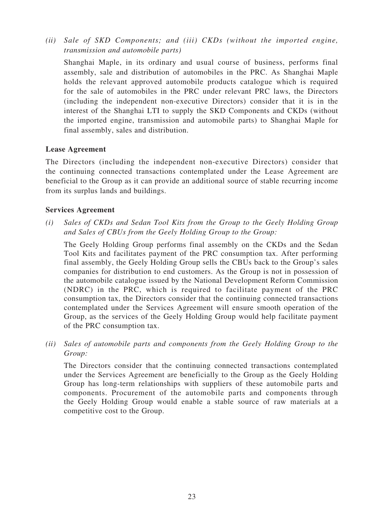*(ii) Sale of SKD Components; and (iii) CKDs (without the imported engine, transmission and automobile parts)*

Shanghai Maple, in its ordinary and usual course of business, performs final assembly, sale and distribution of automobiles in the PRC. As Shanghai Maple holds the relevant approved automobile products catalogue which is required for the sale of automobiles in the PRC under relevant PRC laws, the Directors (including the independent non-executive Directors) consider that it is in the interest of the Shanghai LTI to supply the SKD Components and CKDs (without the imported engine, transmission and automobile parts) to Shanghai Maple for final assembly, sales and distribution.

#### **Lease Agreement**

The Directors (including the independent non-executive Directors) consider that the continuing connected transactions contemplated under the Lease Agreement are beneficial to the Group as it can provide an additional source of stable recurring income from its surplus lands and buildings.

#### **Services Agreement**

*(i) Sales of CKDs and Sedan Tool Kits from the Group to the Geely Holding Group and Sales of CBUs from the Geely Holding Group to the Group:*

The Geely Holding Group performs final assembly on the CKDs and the Sedan Tool Kits and facilitates payment of the PRC consumption tax. After performing final assembly, the Geely Holding Group sells the CBUs back to the Group's sales companies for distribution to end customers. As the Group is not in possession of the automobile catalogue issued by the National Development Reform Commission (NDRC) in the PRC, which is required to facilitate payment of the PRC consumption tax, the Directors consider that the continuing connected transactions contemplated under the Services Agreement will ensure smooth operation of the Group, as the services of the Geely Holding Group would help facilitate payment of the PRC consumption tax.

*(ii) Sales of automobile parts and components from the Geely Holding Group to the Group:*

The Directors consider that the continuing connected transactions contemplated under the Services Agreement are beneficially to the Group as the Geely Holding Group has long-term relationships with suppliers of these automobile parts and components. Procurement of the automobile parts and components through the Geely Holding Group would enable a stable source of raw materials at a competitive cost to the Group.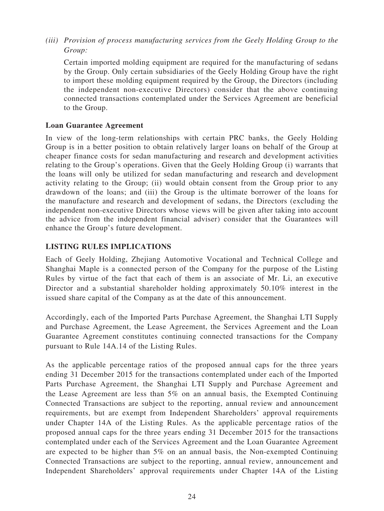*(iii) Provision of process manufacturing services from the Geely Holding Group to the Group:*

Certain imported molding equipment are required for the manufacturing of sedans by the Group. Only certain subsidiaries of the Geely Holding Group have the right to import these molding equipment required by the Group, the Directors (including the independent non-executive Directors) consider that the above continuing connected transactions contemplated under the Services Agreement are beneficial to the Group.

#### **Loan Guarantee Agreement**

In view of the long-term relationships with certain PRC banks, the Geely Holding Group is in a better position to obtain relatively larger loans on behalf of the Group at cheaper finance costs for sedan manufacturing and research and development activities relating to the Group's operations. Given that the Geely Holding Group (i) warrants that the loans will only be utilized for sedan manufacturing and research and development activity relating to the Group; (ii) would obtain consent from the Group prior to any drawdown of the loans; and (iii) the Group is the ultimate borrower of the loans for the manufacture and research and development of sedans, the Directors (excluding the independent non-executive Directors whose views will be given after taking into account the advice from the independent financial adviser) consider that the Guarantees will enhance the Group's future development.

#### **LISTING RULES IMPLICATIONS**

Each of Geely Holding, Zhejiang Automotive Vocational and Technical College and Shanghai Maple is a connected person of the Company for the purpose of the Listing Rules by virtue of the fact that each of them is an associate of Mr. Li, an executive Director and a substantial shareholder holding approximately 50.10% interest in the issued share capital of the Company as at the date of this announcement.

Accordingly, each of the Imported Parts Purchase Agreement, the Shanghai LTI Supply and Purchase Agreement, the Lease Agreement, the Services Agreement and the Loan Guarantee Agreement constitutes continuing connected transactions for the Company pursuant to Rule 14A.14 of the Listing Rules.

As the applicable percentage ratios of the proposed annual caps for the three years ending 31 December 2015 for the transactions contemplated under each of the Imported Parts Purchase Agreement, the Shanghai LTI Supply and Purchase Agreement and the Lease Agreement are less than 5% on an annual basis, the Exempted Continuing Connected Transactions are subject to the reporting, annual review and announcement requirements, but are exempt from Independent Shareholders' approval requirements under Chapter 14A of the Listing Rules. As the applicable percentage ratios of the proposed annual caps for the three years ending 31 December 2015 for the transactions contemplated under each of the Services Agreement and the Loan Guarantee Agreement are expected to be higher than 5% on an annual basis, the Non-exempted Continuing Connected Transactions are subject to the reporting, annual review, announcement and Independent Shareholders' approval requirements under Chapter 14A of the Listing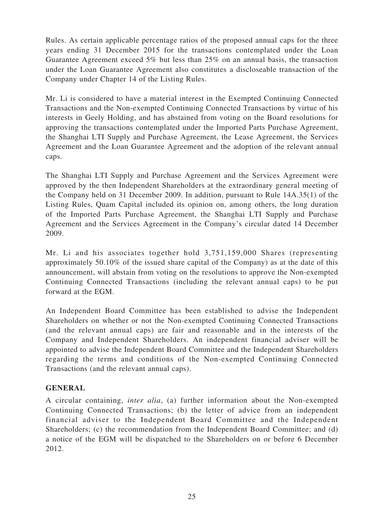Rules. As certain applicable percentage ratios of the proposed annual caps for the three years ending 31 December 2015 for the transactions contemplated under the Loan Guarantee Agreement exceed 5% but less than 25% on an annual basis, the transaction under the Loan Guarantee Agreement also constitutes a discloseable transaction of the Company under Chapter 14 of the Listing Rules.

Mr. Li is considered to have a material interest in the Exempted Continuing Connected Transactions and the Non-exempted Continuing Connected Transactions by virtue of his interests in Geely Holding, and has abstained from voting on the Board resolutions for approving the transactions contemplated under the Imported Parts Purchase Agreement, the Shanghai LTI Supply and Purchase Agreement, the Lease Agreement, the Services Agreement and the Loan Guarantee Agreement and the adoption of the relevant annual caps.

The Shanghai LTI Supply and Purchase Agreement and the Services Agreement were approved by the then Independent Shareholders at the extraordinary general meeting of the Company held on 31 December 2009. In addition, pursuant to Rule 14A.35(1) of the Listing Rules, Quam Capital included its opinion on, among others, the long duration of the Imported Parts Purchase Agreement, the Shanghai LTI Supply and Purchase Agreement and the Services Agreement in the Company's circular dated 14 December 2009.

Mr. Li and his associates together hold 3,751,159,000 Shares (representing approximately 50.10% of the issued share capital of the Company) as at the date of this announcement, will abstain from voting on the resolutions to approve the Non-exempted Continuing Connected Transactions (including the relevant annual caps) to be put forward at the EGM.

An Independent Board Committee has been established to advise the Independent Shareholders on whether or not the Non-exempted Continuing Connected Transactions (and the relevant annual caps) are fair and reasonable and in the interests of the Company and Independent Shareholders. An independent financial adviser will be appointed to advise the Independent Board Committee and the Independent Shareholders regarding the terms and conditions of the Non-exempted Continuing Connected Transactions (and the relevant annual caps).

#### **GENERAL**

A circular containing, *inter alia*, (a) further information about the Non-exempted Continuing Connected Transactions; (b) the letter of advice from an independent financial adviser to the Independent Board Committee and the Independent Shareholders; (c) the recommendation from the Independent Board Committee; and (d) a notice of the EGM will be dispatched to the Shareholders on or before 6 December 2012.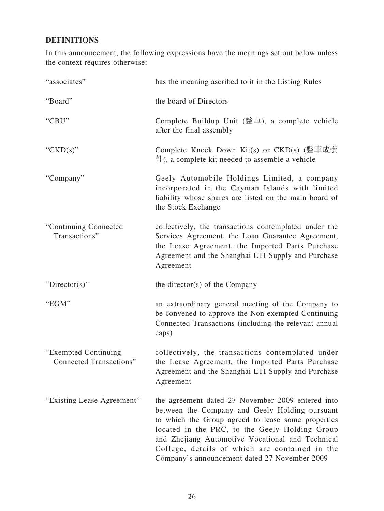## **DEFINITIONS**

In this announcement, the following expressions have the meanings set out below unless the context requires otherwise:

| "associates"                                    | has the meaning ascribed to it in the Listing Rules                                                                                                                                                                                                                                                                                                                |
|-------------------------------------------------|--------------------------------------------------------------------------------------------------------------------------------------------------------------------------------------------------------------------------------------------------------------------------------------------------------------------------------------------------------------------|
| "Board"                                         | the board of Directors                                                                                                                                                                                                                                                                                                                                             |
| "CBU"                                           | Complete Buildup Unit $(\underline{\mathcal{R}}\bar{\mathcal{F}})$ , a complete vehicle<br>after the final assembly                                                                                                                                                                                                                                                |
| " $CKD(s)$ "                                    | Complete Knock Down Kit(s) or $CKD(s)$ (整車成套)<br>$(\nleftrightarrow$ , a complete kit needed to assemble a vehicle                                                                                                                                                                                                                                                 |
| "Company"                                       | Geely Automobile Holdings Limited, a company<br>incorporated in the Cayman Islands with limited<br>liability whose shares are listed on the main board of<br>the Stock Exchange                                                                                                                                                                                    |
| "Continuing Connected<br>Transactions"          | collectively, the transactions contemplated under the<br>Services Agreement, the Loan Guarantee Agreement,<br>the Lease Agreement, the Imported Parts Purchase<br>Agreement and the Shanghai LTI Supply and Purchase<br>Agreement                                                                                                                                  |
| "Director(s)"                                   | the director(s) of the Company                                                                                                                                                                                                                                                                                                                                     |
| "EGM"                                           | an extraordinary general meeting of the Company to<br>be convened to approve the Non-exempted Continuing<br>Connected Transactions (including the relevant annual<br>caps)                                                                                                                                                                                         |
| "Exempted Continuing<br>Connected Transactions" | collectively, the transactions contemplated under<br>the Lease Agreement, the Imported Parts Purchase<br>Agreement and the Shanghai LTI Supply and Purchase<br>Agreement                                                                                                                                                                                           |
| "Existing Lease Agreement"                      | the agreement dated 27 November 2009 entered into<br>between the Company and Geely Holding pursuant<br>to which the Group agreed to lease some properties<br>located in the PRC, to the Geely Holding Group<br>and Zhejiang Automotive Vocational and Technical<br>College, details of which are contained in the<br>Company's announcement dated 27 November 2009 |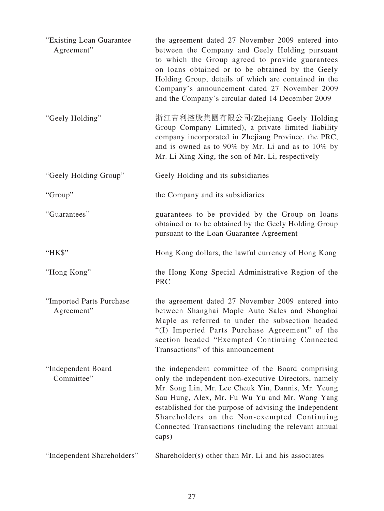| "Existing Loan Guarantee"<br>Agreement" | the agreement dated 27 November 2009 entered into<br>between the Company and Geely Holding pursuant<br>to which the Group agreed to provide guarantees<br>on loans obtained or to be obtained by the Geely<br>Holding Group, details of which are contained in the<br>Company's announcement dated 27 November 2009<br>and the Company's circular dated 14 December 2009                      |
|-----------------------------------------|-----------------------------------------------------------------------------------------------------------------------------------------------------------------------------------------------------------------------------------------------------------------------------------------------------------------------------------------------------------------------------------------------|
| "Geely Holding"                         | 浙江吉利控股集團有限公司(Zhejiang Geely Holding<br>Group Company Limited), a private limited liability<br>company incorporated in Zhejiang Province, the PRC,<br>and is owned as to 90% by Mr. Li and as to 10% by<br>Mr. Li Xing Xing, the son of Mr. Li, respectively                                                                                                                                   |
| "Geely Holding Group"                   | Geely Holding and its subsidiaries                                                                                                                                                                                                                                                                                                                                                            |
| "Group"                                 | the Company and its subsidiaries                                                                                                                                                                                                                                                                                                                                                              |
| "Guarantees"                            | guarantees to be provided by the Group on loans<br>obtained or to be obtained by the Geely Holding Group<br>pursuant to the Loan Guarantee Agreement                                                                                                                                                                                                                                          |
| "HK\$"                                  | Hong Kong dollars, the lawful currency of Hong Kong                                                                                                                                                                                                                                                                                                                                           |
| "Hong Kong"                             | the Hong Kong Special Administrative Region of the<br><b>PRC</b>                                                                                                                                                                                                                                                                                                                              |
| "Imported Parts Purchase<br>Agreement"  | the agreement dated 27 November 2009 entered into<br>between Shanghai Maple Auto Sales and Shanghai<br>Maple as referred to under the subsection headed<br>"(I) Imported Parts Purchase Agreement" of the<br>section headed "Exempted Continuing Connected<br>Transactions" of this announcement                                                                                              |
| "Independent Board<br>Committee"        | the independent committee of the Board comprising<br>only the independent non-executive Directors, namely<br>Mr. Song Lin, Mr. Lee Cheuk Yin, Dannis, Mr. Yeung<br>Sau Hung, Alex, Mr. Fu Wu Yu and Mr. Wang Yang<br>established for the purpose of advising the Independent<br>Shareholders on the Non-exempted Continuing<br>Connected Transactions (including the relevant annual<br>caps) |
| "Independent Shareholders"              | Shareholder(s) other than Mr. Li and his associates                                                                                                                                                                                                                                                                                                                                           |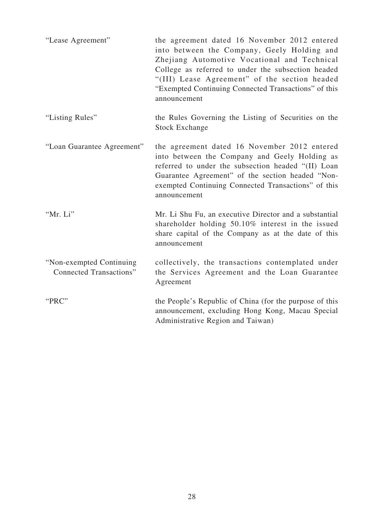| "Lease Agreement"                                          | the agreement dated 16 November 2012 entered<br>into between the Company, Geely Holding and<br>Zhejiang Automotive Vocational and Technical<br>College as referred to under the subsection headed<br>"(III) Lease Agreement" of the section headed<br>"Exempted Continuing Connected Transactions" of this<br>announcement |
|------------------------------------------------------------|----------------------------------------------------------------------------------------------------------------------------------------------------------------------------------------------------------------------------------------------------------------------------------------------------------------------------|
| "Listing Rules"                                            | the Rules Governing the Listing of Securities on the<br><b>Stock Exchange</b>                                                                                                                                                                                                                                              |
| "Loan Guarantee Agreement"                                 | the agreement dated 16 November 2012 entered<br>into between the Company and Geely Holding as<br>referred to under the subsection headed "(II) Loan<br>Guarantee Agreement" of the section headed "Non-<br>exempted Continuing Connected Transactions" of this<br>announcement                                             |
| "Mr. Li"                                                   | Mr. Li Shu Fu, an executive Director and a substantial<br>shareholder holding 50.10% interest in the issued<br>share capital of the Company as at the date of this<br>announcement                                                                                                                                         |
| "Non-exempted Continuing<br><b>Connected Transactions"</b> | collectively, the transactions contemplated under<br>the Services Agreement and the Loan Guarantee<br>Agreement                                                                                                                                                                                                            |
| "PRC"                                                      | the People's Republic of China (for the purpose of this<br>announcement, excluding Hong Kong, Macau Special<br>Administrative Region and Taiwan)                                                                                                                                                                           |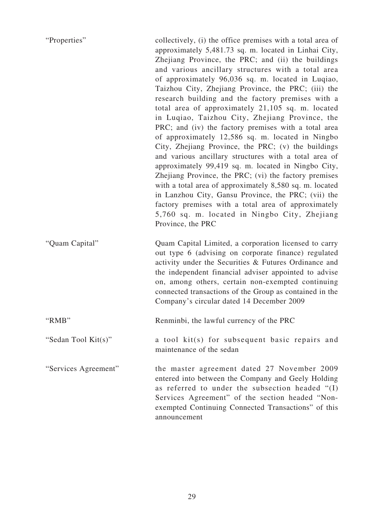| "Properties"         | collectively, (i) the office premises with a total area of<br>approximately 5,481.73 sq. m. located in Linhai City,<br>Zhejiang Province, the PRC; and (ii) the buildings<br>and various ancillary structures with a total area<br>of approximately 96,036 sq. m. located in Luqiao,<br>Taizhou City, Zhejiang Province, the PRC; (iii) the<br>research building and the factory premises with a<br>total area of approximately 21,105 sq. m. located<br>in Luqiao, Taizhou City, Zhejiang Province, the<br>PRC; and (iv) the factory premises with a total area<br>of approximately 12,586 sq. m. located in Ningbo<br>City, Zhejiang Province, the PRC; (v) the buildings<br>and various ancillary structures with a total area of<br>approximately 99,419 sq. m. located in Ningbo City,<br>Zhejiang Province, the PRC; (vi) the factory premises<br>with a total area of approximately 8,580 sq. m. located<br>in Lanzhou City, Gansu Province, the PRC; (vii) the<br>factory premises with a total area of approximately<br>5,760 sq. m. located in Ningbo City, Zhejiang<br>Province, the PRC |
|----------------------|-----------------------------------------------------------------------------------------------------------------------------------------------------------------------------------------------------------------------------------------------------------------------------------------------------------------------------------------------------------------------------------------------------------------------------------------------------------------------------------------------------------------------------------------------------------------------------------------------------------------------------------------------------------------------------------------------------------------------------------------------------------------------------------------------------------------------------------------------------------------------------------------------------------------------------------------------------------------------------------------------------------------------------------------------------------------------------------------------------|
| "Quam Capital"       | Quam Capital Limited, a corporation licensed to carry<br>out type 6 (advising on corporate finance) regulated<br>activity under the Securities & Futures Ordinance and<br>the independent financial adviser appointed to advise<br>on, among others, certain non-exempted continuing<br>connected transactions of the Group as contained in the<br>Company's circular dated 14 December 2009                                                                                                                                                                                                                                                                                                                                                                                                                                                                                                                                                                                                                                                                                                        |
| "RMB"                | Renminbi, the lawful currency of the PRC                                                                                                                                                                                                                                                                                                                                                                                                                                                                                                                                                                                                                                                                                                                                                                                                                                                                                                                                                                                                                                                            |
| "Sedan Tool Kit(s)"  | a tool kit(s) for subsequent basic repairs and<br>maintenance of the sedan                                                                                                                                                                                                                                                                                                                                                                                                                                                                                                                                                                                                                                                                                                                                                                                                                                                                                                                                                                                                                          |
| "Services Agreement" | the master agreement dated 27 November 2009<br>entered into between the Company and Geely Holding<br>as referred to under the subsection headed "(I)<br>Services Agreement" of the section headed "Non-<br>exempted Continuing Connected Transactions" of this<br>announcement                                                                                                                                                                                                                                                                                                                                                                                                                                                                                                                                                                                                                                                                                                                                                                                                                      |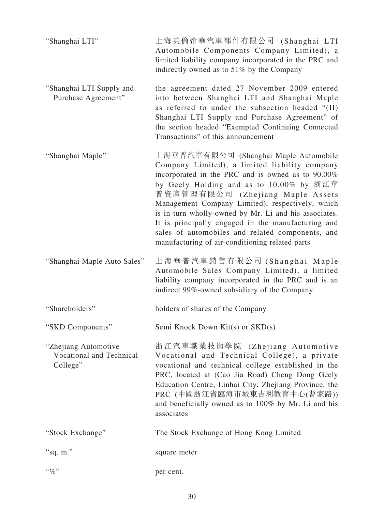| "Shanghai LTI"                                               | 上海英倫帝華汽車部件有限公司 (Shanghai LTI<br>Automobile Components Company Limited), a<br>limited liability company incorporated in the PRC and<br>indirectly owned as to 51% by the Company                                                                                                                                                                                                                                                                                                                       |
|--------------------------------------------------------------|-------------------------------------------------------------------------------------------------------------------------------------------------------------------------------------------------------------------------------------------------------------------------------------------------------------------------------------------------------------------------------------------------------------------------------------------------------------------------------------------------------|
| "Shanghai LTI Supply and<br>Purchase Agreement"              | the agreement dated 27 November 2009 entered<br>into between Shanghai LTI and Shanghai Maple<br>as referred to under the subsection headed "(II)<br>Shanghai LTI Supply and Purchase Agreement" of<br>the section headed "Exempted Continuing Connected<br>Transactions" of this announcement                                                                                                                                                                                                         |
| "Shanghai Maple"                                             | 上海華普汽車有限公司 (Shanghai Maple Automobile<br>Company Limited), a limited liability company<br>incorporated in the PRC and is owned as to 90.00%<br>by Geely Holding and as to 10.00% by 浙江華<br>普資產管理有限公司 (Zhejiang Maple Assets<br>Management Company Limited), respectively, which<br>is in turn wholly-owned by Mr. Li and his associates.<br>It is principally engaged in the manufacturing and<br>sales of automobiles and related components, and<br>manufacturing of air-conditioning related parts |
| "Shanghai Maple Auto Sales"                                  | 上海華普汽車銷售有限公司 (Shanghai Maple<br>Automobile Sales Company Limited), a limited<br>liability company incorporated in the PRC and is an<br>indirect 99%-owned subsidiary of the Company                                                                                                                                                                                                                                                                                                                   |
| "Shareholders"                                               | holders of shares of the Company                                                                                                                                                                                                                                                                                                                                                                                                                                                                      |
| "SKD Components"                                             | Semi Knock Down Kit(s) or SKD(s)                                                                                                                                                                                                                                                                                                                                                                                                                                                                      |
| "Zhejiang Automotive<br>Vocational and Technical<br>College" | 浙江汽車職業技術學院 (Zhejiang Automotive<br>Vocational and Technical College), a private<br>vocational and technical college established in the<br>PRC, located at (Cao Jia Road) Cheng Dong Geely<br>Education Centre, Linhai City, Zhejiang Province, the<br>PRC (中國浙江省臨海市城東吉利教育中心(曹家路))<br>and beneficially owned as to 100% by Mr. Li and his<br>associates                                                                                                                                                |
| "Stock Exchange"                                             | The Stock Exchange of Hong Kong Limited                                                                                                                                                                                                                                                                                                                                                                                                                                                               |
| "sq. $m$ ."                                                  | square meter                                                                                                                                                                                                                                                                                                                                                                                                                                                                                          |
| $``q_0"$                                                     | per cent.                                                                                                                                                                                                                                                                                                                                                                                                                                                                                             |